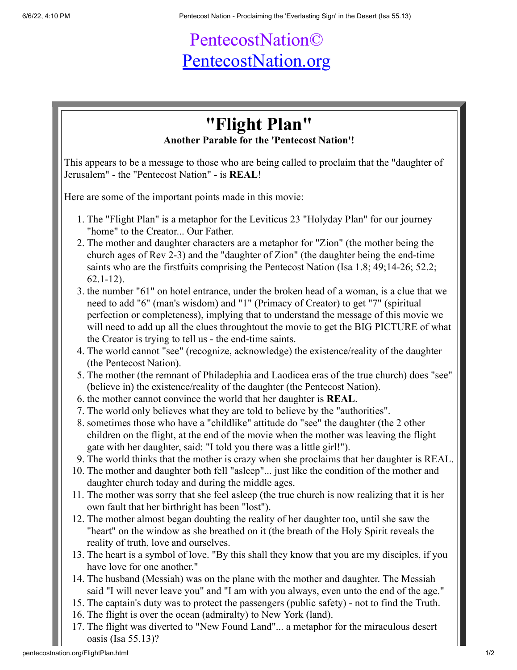## PentecostNation© [PentecostNation.org](http://pentecostnation.org/)

## **"Flight Plan" Another Parable for the 'Pentecost Nation'!**

This appears to be a message to those who are being called to proclaim that the "daughter of Jerusalem" - the "Pentecost Nation" - is **REAL**!

Here are some of the important points made in this movie:

- 1. The "Flight Plan" is a metaphor for the Leviticus 23 "Holyday Plan" for our journey "home" to the Creator... Our Father.
- 2. The mother and daughter characters are a metaphor for "Zion" (the mother being the church ages of Rev 2-3) and the "daughter of Zion" (the daughter being the end-time saints who are the firstfuits comprising the Pentecost Nation (Isa 1.8; 49;14-26; 52.2; 62.1-12).
- 3. the number "61" on hotel entrance, under the broken head of a woman, is a clue that we need to add "6" (man's wisdom) and "1" (Primacy of Creator) to get "7" (spiritual perfection or completeness), implying that to understand the message of this movie we will need to add up all the clues throughtout the movie to get the BIG PICTURE of what the Creator is trying to tell us - the end-time saints.
- 4. The world cannot "see" (recognize, acknowledge) the existence/reality of the daughter (the Pentecost Nation).
- 5. The mother (the remnant of Philadephia and Laodicea eras of the true church) does "see" (believe in) the existence/reality of the daughter (the Pentecost Nation).
- 6. the mother cannot convince the world that her daughter is **REAL**.
- 7. The world only believes what they are told to believe by the "authorities".
- 8. sometimes those who have a "childlike" attitude do "see" the daughter (the 2 other children on the flight, at the end of the movie when the mother was leaving the flight gate with her daughter, said: "I told you there was a little girl!").
- 9. The world thinks that the mother is crazy when she proclaims that her daughter is REAL.
- 10. The mother and daughter both fell "asleep"... just like the condition of the mother and daughter church today and during the middle ages.
- 11. The mother was sorry that she feel asleep (the true church is now realizing that it is her own fault that her birthright has been "lost").
- 12. The mother almost began doubting the reality of her daughter too, until she saw the "heart" on the window as she breathed on it (the breath of the Holy Spirit reveals the reality of truth, love and ourselves.
- 13. The heart is a symbol of love. "By this shall they know that you are my disciples, if you have love for one another."
- 14. The husband (Messiah) was on the plane with the mother and daughter. The Messiah said "I will never leave you" and "I am with you always, even unto the end of the age."
- 15. The captain's duty was to protect the passengers (public safety) not to find the Truth.
- 16. The flight is over the ocean (admiralty) to New York (land).
- 17. The flight was diverted to "New Found Land"... a metaphor for the miraculous desert oasis (Isa 55.13)?